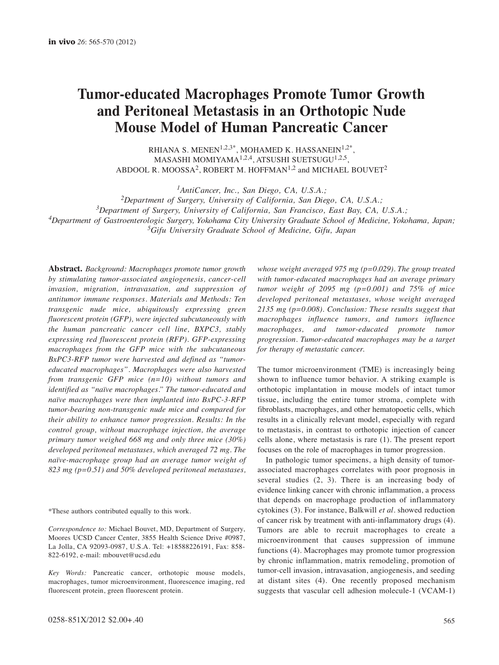# **Tumor-educated Macrophages Promote Tumor Growth and Peritoneal Metastasis in an Orthotopic Nude Mouse Model of Human Pancreatic Cancer**

RHIANA S. MENEN<sup>1,2,3\*</sup>, MOHAMED K. HASSANEIN<sup>1,2\*</sup>, MASASHI MOMIYAMA<sup>1,2,4</sup>, ATSUSHI SUETSUGU<sup>1,2,5</sup>, ABDOOL R. MOOSSA<sup>2</sup>, ROBERT M. HOFFMAN<sup>1,2</sup> and MICHAEL BOUVET<sup>2</sup>

*1AntiCancer, Inc., San Diego, CA, U.S.A.;*

*2Department of Surgery, University of California, San Diego, CA, U.S.A.;*

*3Department of Surgery, University of California, San Francisco, East Bay, CA, U.S.A.;*

*4Department of Gastroenterologic Surgery, Yokohama City University Graduate School of Medicine, Yokohama, Japan;*

*5Gifu University Graduate School of Medicine, Gifu, Japan*

**Abstract.** *Background: Macrophages promote tumor growth by stimulating tumor-associated angiogenesis, cancer-cell invasion, migration, intravasation, and suppression of antitumor immune responses. Materials and Methods: Ten transgenic nude mice, ubiquitously expressing green fluorescent protein (GFP), were injected subcutaneously with the human pancreatic cancer cell line, BXPC3, stably expressing red fluorescent protein (RFP). GFP-expressing macrophages from the GFP mice with the subcutaneous BxPC3-RFP tumor were harvested and defined as "tumoreducated macrophages". Macrophages were also harvested from transgenic GFP mice (n=10) without tumors and identified as "naïve macrophages." The tumor-educated and naïve macrophages were then implanted into BxPC-3-RFP tumor-bearing non-transgenic nude mice and compared for their ability to enhance tumor progression. Results: In the control group, without macrophage injection, the average primary tumor weighed 668 mg and only three mice (30%) developed peritoneal metastases, which averaged 72 mg. The naïve-macrophage group had an average tumor weight of 823 mg (p=0.51) and 50% developed peritoneal metastases,*

\*These authors contributed equally to this work.

*Correspondence to:* Michael Bouvet, MD, Department of Surgery, Moores UCSD Cancer Center, 3855 Health Science Drive #0987, La Jolla, CA 92093-0987, U.S.A. Tel: +18588226191, Fax: 858- 822-6192, e-mail: mbouvet@ucsd.edu

*Key Words:* Pancreatic cancer, orthotopic mouse models, macrophages, tumor microenvironment, fluorescence imaging, red fluorescent protein, green fluorescent protein.

*whose weight averaged 975 mg (p=0.029). The group treated with tumor-educated macrophages had an average primary tumor weight of 2095 mg (p=0.001) and 75% of mice developed peritoneal metastases, whose weight averaged 2135 mg (p=0.008). Conclusion: These results suggest that macrophages influence tumors, and tumors influence macrophages, and tumor-educated promote tumor progression. Tumor-educated macrophages may be a target for therapy of metastatic cancer.*

The tumor microenvironment (TME) is increasingly being shown to influence tumor behavior. A striking example is orthotopic implantation in mouse models of intact tumor tissue, including the entire tumor stroma, complete with fibroblasts, macrophages, and other hematopoetic cells, which results in a clinically relevant model, especially with regard to metastasis, in contrast to orthotopic injection of cancer cells alone, where metastasis is rare (1). The present report focuses on the role of macrophages in tumor progression.

In pathologic tumor specimens, a high density of tumorassociated macrophages correlates with poor prognosis in several studies (2, 3). There is an increasing body of evidence linking cancer with chronic inflammation, a process that depends on macrophage production of inflammatory cytokines (3). For instance, Balkwill *et al.* showed reduction of cancer risk by treatment with anti-inflammatory drugs (4). Tumors are able to recruit macrophages to create a microenvironment that causes suppression of immune functions (4). Macrophages may promote tumor progression by chronic inflammation, matrix remodeling, promotion of tumor-cell invasion, intravasation, angiogenesis, and seeding at distant sites (4). One recently proposed mechanism suggests that vascular cell adhesion molecule-1 (VCAM-1)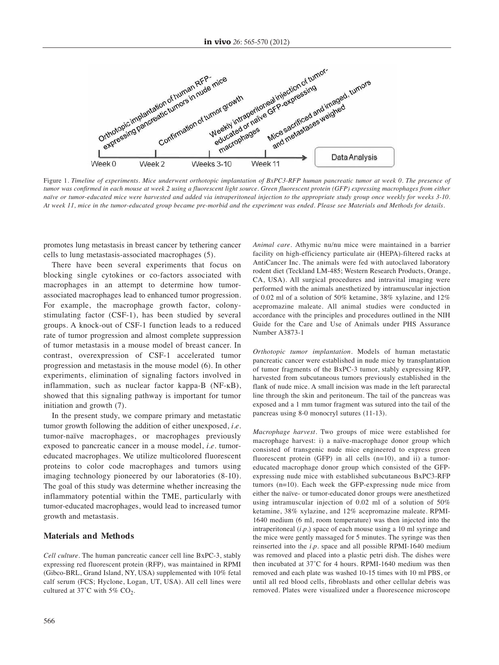

Figure 1. *Timeline of experiments. Mice underwent orthotopic implantation of BxPC3-RFP human pancreatic tumor at week 0. The presence of tumor was confirmed in each mouse at week 2 using a fluorescent light source. Green fluorescent protein (GFP) expressing macrophages from either naïve or tumor-educated mice were harvested and added via intraperitoneal injection to the appropriate study group once weekly for weeks 3-10. At week 11, mice in the tumor-educated group became pre-morbid and the experiment was ended. Please see Materials and Methods for details.*

promotes lung metastasis in breast cancer by tethering cancer cells to lung metastasis-associated macrophages (5).

There have been several experiments that focus on blocking single cytokines or co-factors associated with macrophages in an attempt to determine how tumorassociated macrophages lead to enhanced tumor progression. For example, the macrophage growth factor, colonystimulating factor (CSF-1), has been studied by several groups. A knock-out of CSF-1 function leads to a reduced rate of tumor progression and almost complete suppression of tumor metastasis in a mouse model of breast cancer. In contrast, overexpression of CSF-1 accelerated tumor progression and metastasis in the mouse model (6). In other experiments, elimination of signaling factors involved in inflammation, such as nuclear factor kappa-B (NF-ĸB), showed that this signaling pathway is important for tumor initiation and growth (7).

In the present study, we compare primary and metastatic tumor growth following the addition of either unexposed, *i.e.* tumor-naïve macrophages, or macrophages previously exposed to pancreatic cancer in a mouse model, *i.e.* tumoreducated macrophages. We utilize multicolored fluorescent proteins to color code macrophages and tumors using imaging technology pioneered by our laboratories (8-10). The goal of this study was determine whether increasing the inflammatory potential within the TME, particularly with tumor-educated macrophages, would lead to increased tumor growth and metastasis.

#### **Materials and Methods**

*Cell culture.* The human pancreatic cancer cell line BxPC-3, stably expressing red fluorescent protein (RFP), was maintained in RPMI (Gibco-BRL, Grand Island, NY, USA) supplemented with 10% fetal calf serum (FCS; Hyclone, Logan, UT, USA). All cell lines were cultured at 37°C with 5%  $CO<sub>2</sub>$ .

*Animal care.* Athymic nu/nu mice were maintained in a barrier facility on high-efficiency particulate air (HEPA)-filtered racks at AntiCancer Inc. The animals were fed with autoclaved laboratory rodent diet (Teckland LM-485; Western Research Products, Orange, CA, USA). All surgical procedures and intravital imaging were performed with the animals anesthetized by intramuscular injection of 0.02 ml of a solution of 50% ketamine, 38% xylazine, and 12% acepromazine maleate. All animal studies were conducted in accordance with the principles and procedures outlined in the NIH Guide for the Care and Use of Animals under PHS Assurance Number A3873-1

*Orthotopic tumor implantation.* Models of human metastatic pancreatic cancer were established in nude mice by transplantation of tumor fragments of the BxPC-3 tumor, stably expressing RFP, harvested from subcutaneous tumors previously established in the flank of nude mice. A small incision was made in the left pararectal line through the skin and peritoneum. The tail of the pancreas was exposed and a 1 mm tumor fragment was sutured into the tail of the pancreas using 8-0 monocryl sutures (11-13).

*Macrophage harvest.* Two groups of mice were established for macrophage harvest: i) a naïve-macrophage donor group which consisted of transgenic nude mice engineered to express green fluorescent protein (GFP) in all cells (n=10), and ii) a tumoreducated macrophage donor group which consisted of the GFPexpressing nude mice with established subcutaneous BxPC3-RFP tumors (n=10). Each week the GFP-expressing nude mice from either the naïve- or tumor-educated donor groups were anesthetized using intramuscular injection of 0.02 ml of a solution of 50% ketamine, 38% xylazine, and 12% acepromazine maleate. RPMI-1640 medium (6 ml, room temperature) was then injected into the intraperitoneal (*i.p.*) space of each mouse using a 10 ml syringe and the mice were gently massaged for 5 minutes. The syringe was then reinserted into the *i.p.* space and all possible RPMI-1640 medium was removed and placed into a plastic petri dish. The dishes were then incubated at 37˚C for 4 hours. RPMI-1640 medium was then removed and each plate was washed 10-15 times with 10 ml PBS, or until all red blood cells, fibroblasts and other cellular debris was removed. Plates were visualized under a fluorescence microscope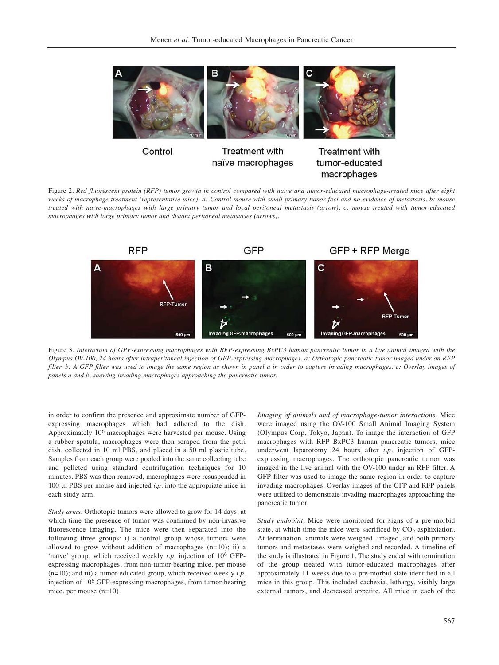

Figure 2. *Red fluorescent protein (RFP) tumor growth in control compared with naïve and tumor-educated macrophage-treated mice after eight weeks of macrophage treatment (representative mice). a: Control mouse with small primary tumor foci and no evidence of metastasis. b: mouse treated with naïve-macrophages with large primary tumor and local peritoneal metastasis (arrow). c: mouse treated with tumor-educated macrophages with large primary tumor and distant peritoneal metastases (arrows).*



Figure 3. *Interaction of GPF-expressing macrophages with RFP-expressing BxPC3 human pancreatic tumor in a live animal imaged with the Olympus OV-100, 24 hours after intraperitoneal injection of GFP-expressing macrophages. a: Orthotopic pancreatic tumor imaged under an RFP filter. b: A GFP filter was used to image the same region as shown in panel a in order to capture invading macrophages. c: Overlay images of panels a and b, showing invading macrophages approaching the pancreatic tumor.*

in order to confirm the presence and approximate number of GFPexpressing macrophages which had adhered to the dish. Approximately 106 macrophages were harvested per mouse. Using a rubber spatula, macrophages were then scraped from the petri dish, collected in 10 ml PBS, and placed in a 50 ml plastic tube. Samples from each group were pooled into the same collecting tube and pelleted using standard centrifugation techniques for 10 minutes. PBS was then removed, macrophages were resuspended in 100 μl PBS per mouse and injected *i.p.* into the appropriate mice in each study arm.

*Study arms.* Orthotopic tumors were allowed to grow for 14 days, at which time the presence of tumor was confirmed by non-invasive fluorescence imaging. The mice were then separated into the following three groups: i) a control group whose tumors were allowed to grow without addition of macrophages (n=10); ii) a 'naïve' group, which received weekly *i.p.* injection of 106 GFPexpressing macrophages, from non-tumor-bearing mice, per mouse (n=10); and iii) a tumor-educated group, which received weekly *i.p.* injection of 106 GFP-expressing macrophages, from tumor-bearing mice, per mouse (n=10).

*Imaging of animals and of macrophage-tumor interactions.* Mice were imaged using the OV-100 Small Animal Imaging System (Olympus Corp, Tokyo, Japan). To image the interaction of GFP macrophages with RFP BxPC3 human pancreatic tumors, mice underwent laparotomy 24 hours after *i.p.* injection of GFPexpressing macrophages. The orthotopic pancreatic tumor was imaged in the live animal with the OV-100 under an RFP filter. A GFP filter was used to image the same region in order to capture invading macrophages. Overlay images of the GFP and RFP panels were utilized to demonstrate invading macrophages approaching the pancreatic tumor.

macrophages

*Study endpoint*. Mice were monitored for signs of a pre-morbid state, at which time the mice were sacrificed by  $CO<sub>2</sub>$  asphixiation. At termination, animals were weighed, imaged, and both primary tumors and metastases were weighed and recorded. A timeline of the study is illustrated in Figure 1. The study ended with termination of the group treated with tumor-educated macrophages after approximately 11 weeks due to a pre-morbid state identified in all mice in this group. This included cachexia, lethargy, visibly large external tumors, and decreased appetite. All mice in each of the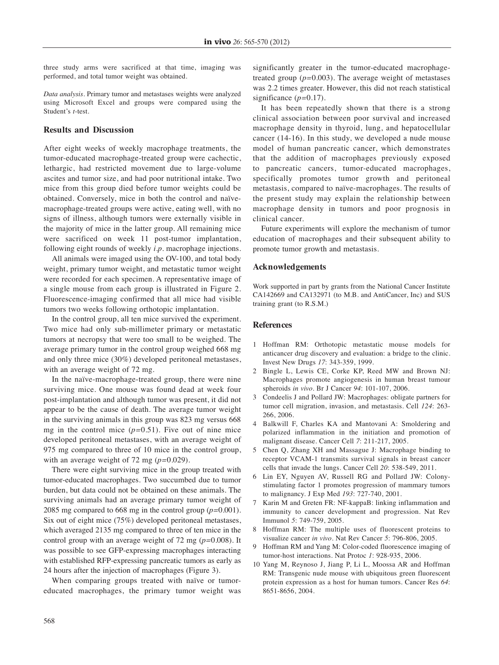three study arms were sacrificed at that time, imaging was performed, and total tumor weight was obtained.

*Data analysis*. Primary tumor and metastases weights were analyzed using Microsoft Excel and groups were compared using the Student's *t*-test.

# **Results and Discussion**

After eight weeks of weekly macrophage treatments, the tumor-educated macrophage-treated group were cachectic, lethargic, had restricted movement due to large-volume ascites and tumor size, and had poor nutritional intake. Two mice from this group died before tumor weights could be obtained. Conversely, mice in both the control and naïvemacrophage-treated groups were active, eating well, with no signs of illness, although tumors were externally visible in the majority of mice in the latter group. All remaining mice were sacrificed on week 11 post-tumor implantation, following eight rounds of weekly *i.p.* macrophage injections.

All animals were imaged using the OV-100, and total body weight, primary tumor weight, and metastatic tumor weight were recorded for each specimen. A representative image of a single mouse from each group is illustrated in Figure 2. Fluorescence-imaging confirmed that all mice had visible tumors two weeks following orthotopic implantation.

In the control group, all ten mice survived the experiment. Two mice had only sub-millimeter primary or metastatic tumors at necropsy that were too small to be weighed. The average primary tumor in the control group weighed 668 mg and only three mice (30%) developed peritoneal metastases, with an average weight of 72 mg.

In the naïve-macrophage-treated group, there were nine surviving mice. One mouse was found dead at week four post-implantation and although tumor was present, it did not appear to be the cause of death. The average tumor weight in the surviving animals in this group was 823 mg versus 668 mg in the control mice (*p=*0.51). Five out of nine mice developed peritoneal metastases, with an average weight of 975 mg compared to three of 10 mice in the control group, with an average weight of 72 mg (*p=*0.029).

There were eight surviving mice in the group treated with tumor-educated macrophages. Two succumbed due to tumor burden, but data could not be obtained on these animals. The surviving animals had an average primary tumor weight of 2085 mg compared to 668 mg in the control group (*p=*0.001). Six out of eight mice (75%) developed peritoneal metastases, which averaged 2135 mg compared to three of ten mice in the control group with an average weight of 72 mg (*p=*0.008). It was possible to see GFP-expressing macrophages interacting with established RFP-expressing pancreatic tumors as early as 24 hours after the injection of macrophages (Figure 3).

When comparing groups treated with naïve or tumoreducated macrophages, the primary tumor weight was significantly greater in the tumor-educated macrophagetreated group (*p=*0.003). The average weight of metastases was 2.2 times greater. However, this did not reach statistical significance (*p=*0.17).

It has been repeatedly shown that there is a strong clinical association between poor survival and increased macrophage density in thyroid, lung, and hepatocellular cancer (14-16). In this study, we developed a nude mouse model of human pancreatic cancer, which demonstrates that the addition of macrophages previously exposed to pancreatic cancers, tumor-educated macrophages, specifically promotes tumor growth and peritoneal metastasis, compared to naïve-macrophages. The results of the present study may explain the relationship between macrophage density in tumors and poor prognosis in clinical cancer.

Future experiments will explore the mechanism of tumor education of macrophages and their subsequent ability to promote tumor growth and metastasis.

## **Acknowledgements**

Work supported in part by grants from the National Cancer Institute CA142669 and CA132971 (to M.B. and AntiCancer, Inc) and SUS training grant (to R.S.M.)

## **References**

- 1 Hoffman RM: Orthotopic metastatic mouse models for anticancer drug discovery and evaluation: a bridge to the clinic. Invest New Drugs *17*: 343-359, 1999.
- 2 Bingle L, Lewis CE, Corke KP, Reed MW and Brown NJ: Macrophages promote angiogenesis in human breast tumour spheroids *in vivo*. Br J Cancer *94*: 101-107, 2006.
- 3 Condeelis J and Pollard JW: Macrophages: obligate partners for tumor cell migration, invasion, and metastasis. Cell *124*: 263- 266, 2006.
- 4 Balkwill F, Charles KA and Mantovani A: Smoldering and polarized inflammation in the initiation and promotion of malignant disease. Cancer Cell *7*: 211-217, 2005.
- 5 Chen Q, Zhang XH and Massague J: Macrophage binding to receptor VCAM-1 transmits survival signals in breast cancer cells that invade the lungs. Cancer Cell *20*: 538-549, 2011.
- 6 Lin EY, Nguyen AV, Russell RG and Pollard JW: Colonystimulating factor 1 promotes progression of mammary tumors to malignancy. J Exp Med *193*: 727-740, 2001.
- 7 Karin M and Greten FR: NF-kappaB: linking inflammation and immunity to cancer development and progression. Nat Rev Immunol *5*: 749-759, 2005.
- 8 Hoffman RM: The multiple uses of fluorescent proteins to visualize cancer *in vivo*. Nat Rev Cancer *5*: 796-806, 2005.
- 9 Hoffman RM and Yang M: Color-coded fluorescence imaging of tumor-host interactions. Nat Protoc *1*: 928-935, 2006.
- 10 Yang M, Reynoso J, Jiang P, Li L, Moossa AR and Hoffman RM: Transgenic nude mouse with ubiquitous green fluorescent protein expression as a host for human tumors. Cancer Res *64*: 8651-8656, 2004.